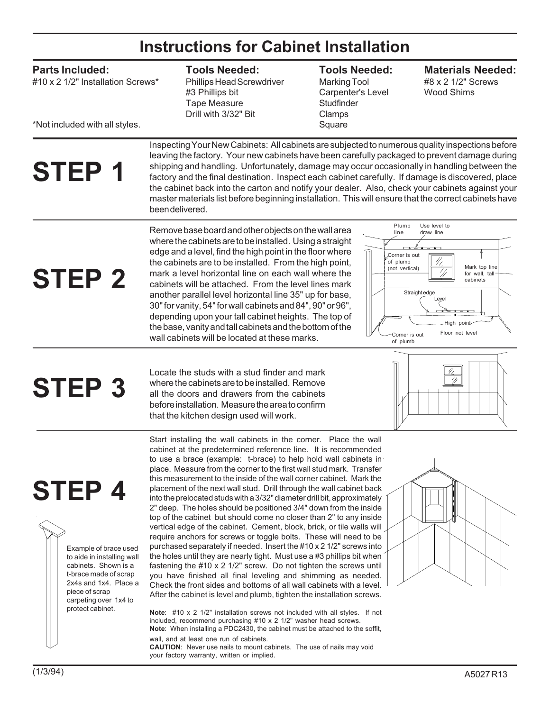### **Instructions for Cabinet Installation**

### **Parts Included:**

#10 x 2 1/2" Installation Screws\*

#### \*Not included with all styles.

**Tools Needed:**

Phillips Head Screwdriver #3 Phillips bit Tape Measure Drill with 3/32" Bit

### **Tools Needed:**

Marking Tool Carpenter's Level **Studfinder** Clamps Square

### **Materials Needed:**

#8 x 2 1/2" Screws Wood Shims

# **STEP 1**

Inspecting Your New Cabinets: All cabinets are subjected to numerous quality inspections before leaving the factory. Your new cabinets have been carefully packaged to prevent damage during shipping and handling. Unfortunately, damage may occur occasionally in handling between the factory and the final destination. Inspect each cabinet carefully. If damage is discovered, place the cabinet back into the carton and notify your dealer. Also, check your cabinets against your master materials list before beginning installation. This will ensure that the correct cabinets have been delivered.

**STEP 2**

Remove base board and other objects on the wall area where the cabinets are to be installed. Using a straight edge and a level, find the high point in the floor where the cabinets are to be installed. From the high point, mark a level horizontal line on each wall where the cabinets will be attached. From the level lines mark another parallel level horizontal line 35" up for base, 30" for vanity, 54" for wall cabinets and 84", 90" or 96", depending upon your tall cabinet heights. The top of the base, vanity and tall cabinets and the bottom of the wall cabinets will be located at these marks.



## **STEP 3**

Locate the studs with a stud finder and mark where the cabinets are to be installed. Remove all the doors and drawers from the cabinets before installation. Measure the area to confirm that the kitchen design used will work.



### **STEP 4**

Example of brace used to aide in installing wall cabinets. Shown is a t-brace made of scrap 2x4s and 1x4. Place a piece of scrap carpeting over 1x4 to protect cabinet.

Start installing the wall cabinets in the corner. Place the wall cabinet at the predetermined reference line. It is recommended to use a brace (example: t-brace) to help hold wall cabinets in place. Measure from the corner to the first wall stud mark. Transfer this measurement to the inside of the wall corner cabinet. Mark the placement of the next wall stud. Drill through the wall cabinet back into the prelocated studs with a 3/32" diameter drill bit, approximately 2" deep. The holes should be positioned 3/4" down from the inside top of the cabinet but should come no closer than 2" to any inside vertical edge of the cabinet. Cement, block, brick, or tile walls will require anchors for screws or toggle bolts. These will need to be purchased separately if needed. Insert the #10 x 2 1/2" screws into the holes until they are nearly tight. Must use a #3 phillips bit when fastening the #10 x 2 1/2" screw. Do not tighten the screws until you have finished all final leveling and shimming as needed. Check the front sides and bottoms of all wall cabinets with a level. After the cabinet is level and plumb, tighten the installation screws.

**Note**: #10 x 2 1/2" installation screws not included with all styles. If not included, recommend purchasing #10 x 2 1/2" washer head screws. **Note**: When installing a PDC2430, the cabinet must be attached to the soffit, wall, and at least one run of cabinets. **CAUTION**: Never use nails to mount cabinets. The use of nails may void your factory warranty, written or implied.

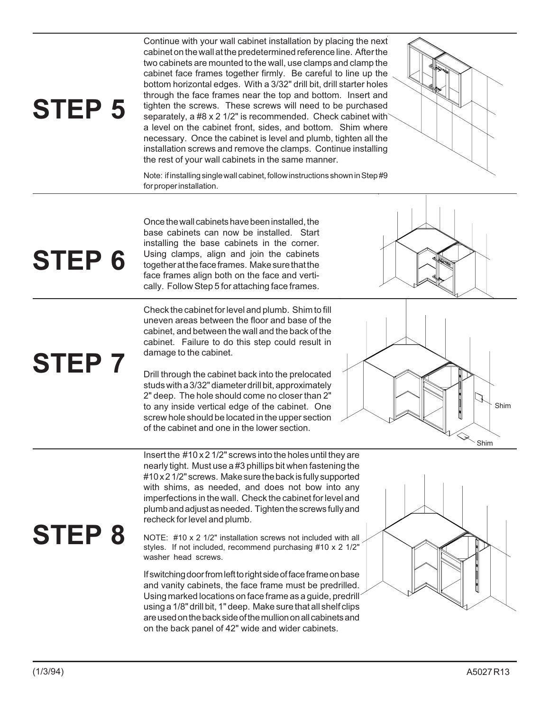### **STEP 5**

**STEP 6**

**STEP 7**

Continue with your wall cabinet installation by placing the next cabinet on the wall at the predetermined reference line. After the two cabinets are mounted to the wall, use clamps and clamp the cabinet face frames together firmly. Be careful to line up the bottom horizontal edges. With a 3/32" drill bit, drill starter holes through the face frames near the top and bottom. Insert and tighten the screws. These screws will need to be purchased separately, a #8 x 2 1/2" is recommended. Check cabinet with a level on the cabinet front, sides, and bottom. Shim where necessary. Once the cabinet is level and plumb, tighten all the installation screws and remove the clamps. Continue installing the rest of your wall cabinets in the same manner.



Note: if installing single wall cabinet, follow instructions shown in Step #9 for proper installation.

Once the wall cabinets have been installed, the base cabinets can now be installed. Start installing the base cabinets in the corner. Using clamps, align and join the cabinets together at the face frames. Make sure that the face frames align both on the face and vertically. Follow Step 5 for attaching face frames.

Check the cabinet for level and plumb. Shim to fill uneven areas between the floor and base of the cabinet, and between the wall and the back of the cabinet. Failure to do this step could result in damage to the cabinet.

Drill through the cabinet back into the prelocated studs with a 3/32" diameter drill bit, approximately 2" deep. The hole should come no closer than 2" to any inside vertical edge of the cabinet. One screw hole should be located in the upper section of the cabinet and one in the lower section.





Insert the #10 x 2 1/2" screws into the holes until they are nearly tight. Must use a #3 phillips bit when fastening the #10 x 2 1/2" screws. Make sure the back is fully supported with shims, as needed, and does not bow into any imperfections in the wall. Check the cabinet for level and plumb and adjust as needed. Tighten the screws fully and recheck for level and plumb.

### **STEP 8**

NOTE: #10 x 2 1/2" installation screws not included with all styles. If not included, recommend purchasing #10 x 2 1/2" washer head screws.

If switching door from left to right side of face frame on base and vanity cabinets, the face frame must be predrilled. Using marked locations on face frame as a guide, predrill using a 1/8" drill bit, 1" deep. Make sure that all shelf clips are used on the back side of the mullion on all cabinets and on the back panel of 42" wide and wider cabinets.